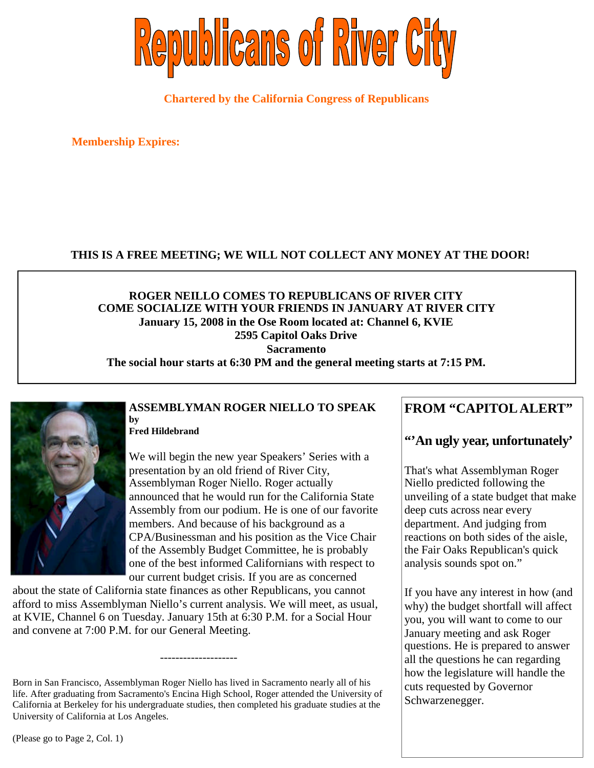

**Chartered by the California Congress of Republicans**

**Membership Expires:**

## **THIS IS A FREE MEETING; WE WILL NOT COLLECT ANY MONEY AT THE DOOR!**

### **ROGER NEILLO COMES TO REPUBLICANS OF RIVER CITY COME SOCIALIZE WITH YOUR FRIENDS IN JANUARY AT RIVER CITY January 15, 2008 in the Ose Room located at: Channel 6, KVIE 2595 Capitol Oaks Drive Sacramento The social hour starts at 6:30 PM and the general meeting starts at 7:15 PM.**

#### **ASSEMBLYMAN ROGER NIELLO TO SPEAK by**

**Fred Hildebrand**

We will begin the new year Speakers' Series with a presentation by an old friend of River City, Assemblyman Roger Niello. Roger actually announced that he would run for the California State Assembly from our podium. He is one of our favorite members. And because of his background as a CPA/Businessman and his position as the Vice Chair of the Assembly Budget Committee, he is probably one of the best informed Californians with respect to our current budget crisis. If you are as concerned

about the state of California state finances as other Republicans, you cannot afford to miss Assemblyman Niello's current analysis. We will meet, as usual, at KVIE, Channel 6 on Tuesday. January 15th at 6:30 P.M. for a Social Hour and convene at 7:00 P.M. for our General Meeting.

--------------------

# **FROM "CAPITOL ALERT"**

# **"'An ugly year, unfortunately'**

That's what Assemblyman Roger Niello predicted following the unveiling of a state budget that make deep cuts across near every department. And judging from reactions on both sides of the aisle, the Fair Oaks Republican's quick analysis sounds spot on."

If you have any interest in how (and why) the budget shortfall will affect you, you will want to come to our January meeting and ask Roger questions. He is prepared to answer all the questions he can regarding how the legislature will handle the cuts requested by Governor Schwarzenegger.

Born in San Francisco, Assemblyman Roger Niello has lived in Sacramento nearly all of his life. After graduating from Sacramento's Encina High School, Roger attended the University of California at Berkeley for his undergraduate studies, then completed his graduate studies at the University of California at Los Angeles.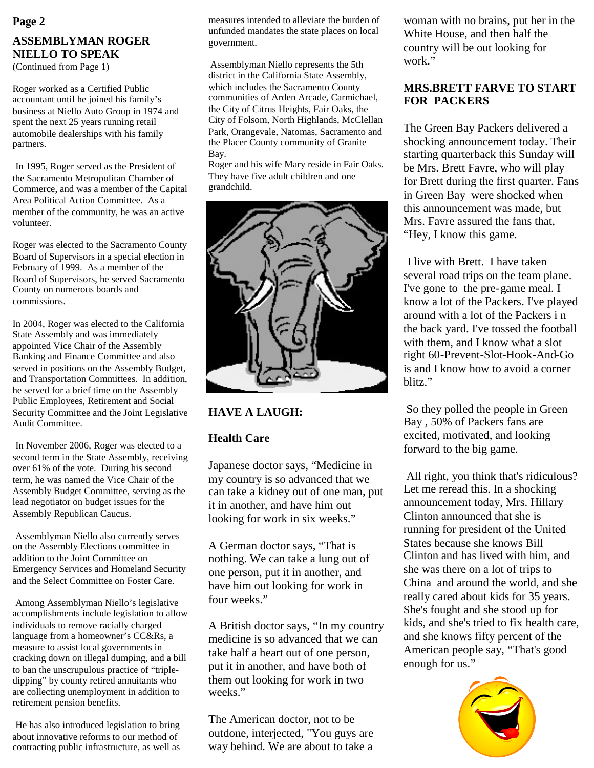#### **ASSEMBLYMAN ROGER NIELLO TO SPEAK** (Continued from Page 1)

Roger worked as a Certified Public accountant until he joined his family's business at Niello Auto Group in 1974 and spent the next 25 years running retail automobile dealerships with his family partners.

In 1995, Roger served as the President of the Sacramento Metropolitan Chamber of Commerce, and was a member of the Capital Area Political Action Committee. As a member of the community, he was an active volunteer.

Roger was elected to the Sacramento County Board of Supervisors in a special election in February of 1999. As a member of the Board of Supervisors, he served Sacramento County on numerous boards and commissions.

In 2004, Roger was elected to the California State Assembly and was immediately appointed Vice Chair of the Assembly Banking and Finance Committee and also served in positions on the Assembly Budget, and Transportation Committees. In addition, he served for a brief time on the Assembly Public Employees, Retirement and Social Security Committee and the Joint Legislative Audit Committee.

In November 2006, Roger was elected to a second term in the State Assembly, receiving over 61% of the vote. During his second term, he was named the Vice Chair of the Assembly Budget Committee, serving as the lead negotiator on budget issues for the Assembly Republican Caucus.

Assemblyman Niello also currently serves on the Assembly Elections committee in addition to the Joint Committee on Emergency Services and Homeland Security and the Select Committee on Foster Care.

Among Assemblyman Niello's legislative accomplishments include legislation to allow individuals to remove racially charged language from a homeowner's CC&Rs, a measure to assist local governments in cracking down on illegal dumping, and a bill to ban the unscrupulous practice of "tripledipping" by county retired annuitants who are collecting unemployment in addition to retirement pension benefits.

He has also introduced legislation to bring about innovative reforms to our method of contracting public infrastructure, as well as

measures intended to alleviate the burden of unfunded mandates the state places on local government. **Page 2** measures intended to alleviate the burden of woman with no brains, put her in the

> Assemblyman Niello represents the 5th district in the California State Assembly, which includes the Sacramento County communities of Arden Arcade, Carmichael, the City of Citrus Heights, Fair Oaks, the City of Folsom, North Highlands, McClellan Park, Orangevale, Natomas, Sacramento and the Placer County community of Granite Bay.

> Roger and his wife Mary reside in Fair Oaks. They have five adult children and one grandchild.



# **HAVE A LAUGH:**

# **Health Care**

Japanese doctor says, "Medicine in my country is so advanced that we can take a kidney out of one man, put it in another, and have him out looking for work in six weeks."

A German doctor says, "That is nothing. We can take a lung out of one person, put it in another, and have him out looking for work in four weeks."

A British doctor says, "In my country medicine is so advanced that we can take half a heart out of one person, put it in another, and have both of them out looking for work in two weeks."

The American doctor, not to be outdone, interjected, "You guys are way behind. We are about to take a

White House, and then half the country will be out looking for work."

# **MRS.BRETT FARVE TO START FOR PACKERS**

The Green Bay Packers delivered a shocking announcement today. Their starting quarterback this Sunday will be Mrs. Brett Favre, who will play for Brett during the first quarter. Fans in Green Bay were shocked when this announcement was made, but Mrs. Favre assured the fans that, "Hey, I know this game.

I live with Brett. I have taken several road trips on the team plane. I've gone to the pre-game meal. I know a lot of the Packers. I've played around with a lot of the Packers i n the back yard. I've tossed the football with them, and I know what a slot right 60-Prevent-Slot-Hook-And-Go is and I know how to avoid a corner blitz."

So they polled the people in Green Bay , 50% of Packers fans are excited, motivated, and looking forward to the big game.

All right, you think that's ridiculous? Let me reread this. In a shocking announcement today, Mrs. Hillary Clinton announced that she is running for president of the United States because she knows Bill Clinton and has lived with him, and she was there on a lot of trips to China and around the world, and she really cared about kids for 35 years. She's fought and she stood up for kids, and she's tried to fix health care, and she knows fifty percent of the American people say, "That's good enough for us."

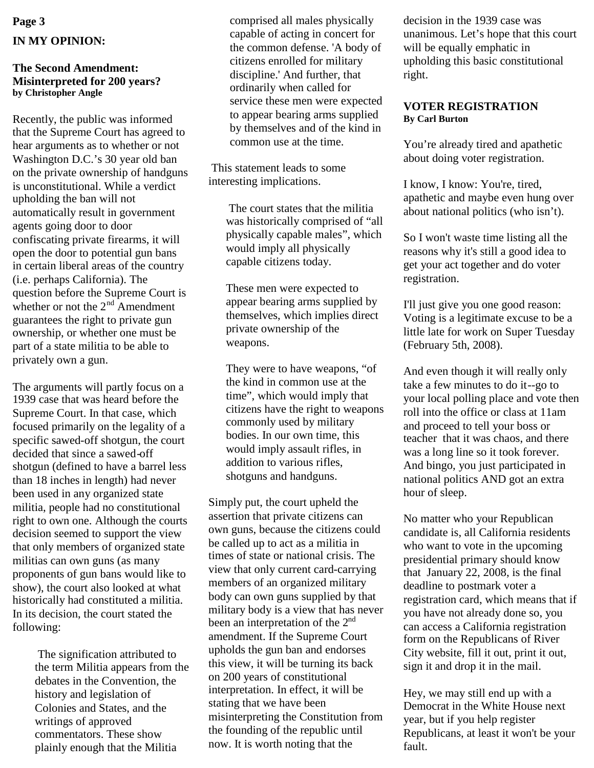# **Page 3 IN MY OPINION:**

#### **The Second Amendment: Misinterpreted for 200 years? by Christopher Angle**

Recently, the public was informed that the Supreme Court has agreed to hear arguments as to whether or not Washington D.C.'s 30 year old ban on the private ownership of handguns is unconstitutional. While a verdict upholding the ban will not automatically result in government agents going door to door confiscating private firearms, it will open the door to potential gun bans in certain liberal areas of the country (i.e. perhaps California). The question before the Supreme Court is whether or not the 2<sup>nd</sup> Amendment guarantees the right to private gun ownership, or whether one must be part of a state militia to be able to privately own a gun.

The arguments will partly focus on a 1939 case that was heard before the Supreme Court. In that case, which focused primarily on the legality of a specific sawed-off shotgun, the court decided that since a sawed-off shotgun (defined to have a barrel less than 18 inches in length) had never been used in any organized state militia, people had no constitutional right to own one. Although the courts decision seemed to support the view that only members of organized state militias can own guns (as many proponents of gun bans would like to show), the court also looked at what historically had constituted a militia. In its decision, the court stated the following:

> The signification attributed to the term Militia appears from the debates in the Convention, the history and legislation of Colonies and States, and the writings of approved commentators. These show plainly enough that the Militia

comprised all males physically capable of acting in concert for the common defense. 'A body of citizens enrolled for military discipline.' And further, that ordinarily when called for service these men were expected to appear bearing arms supplied by themselves and of the kind in common use at the time.

This statement leads to some interesting implications.

> The court states that the militia was historically comprised of "all physically capable males", which would imply all physically capable citizens today.

These men were expected to appear bearing arms supplied by themselves, which implies direct private ownership of the weapons.

They were to have weapons, "of the kind in common use at the time", which would imply that citizens have the right to weapons commonly used by military bodies. In our own time, this would imply assault rifles, in addition to various rifles, shotguns and handguns.

Simply put, the court upheld the assertion that private citizens can own guns, because the citizens could be called up to act as a militia in times of state or national crisis. The view that only current card-carrying members of an organized military body can own guns supplied by that military body is a view that has never been an interpretation of the  $2<sup>nd</sup>$ amendment. If the Supreme Court upholds the gun ban and endorses this view, it will be turning its back on 200 years of constitutional interpretation. In effect, it will be stating that we have been misinterpreting the Constitution from the founding of the republic until now. It is worth noting that the

decision in the 1939 case was unanimous. Let's hope that this court will be equally emphatic in upholding this basic constitutional right.

#### **VOTER REGISTRATION By Carl Burton**

You're already tired and apathetic about doing voter registration.

I know, I know: You're, tired, apathetic and maybe even hung over about national politics (who isn't).

So I won't waste time listing all the reasons why it's still a good idea to get your act together and do voter registration.

I'll just give you one good reason: Voting is a legitimate excuse to be a little late for work on Super Tuesday (February 5th, 2008).

And even though it will really only take a few minutes to do it--go to your local polling place and vote then roll into the office or class at 11am and proceed to tell your boss or teacher that it was chaos, and there was a long line so it took forever. And bingo, you just participated in national politics AND got an extra hour of sleep.

No matter who your Republican candidate is, all California residents who want to vote in the upcoming presidential primary should know that January 22, 2008, is the final deadline to postmark voter a registration card, which means that if you have not already done so, you can access a California registration form on the Republicans of River City website, fill it out, print it out, sign it and drop it in the mail.

Hey, we may still end up with a Democrat in the White House next year, but if you help register Republicans, at least it won't be your fault.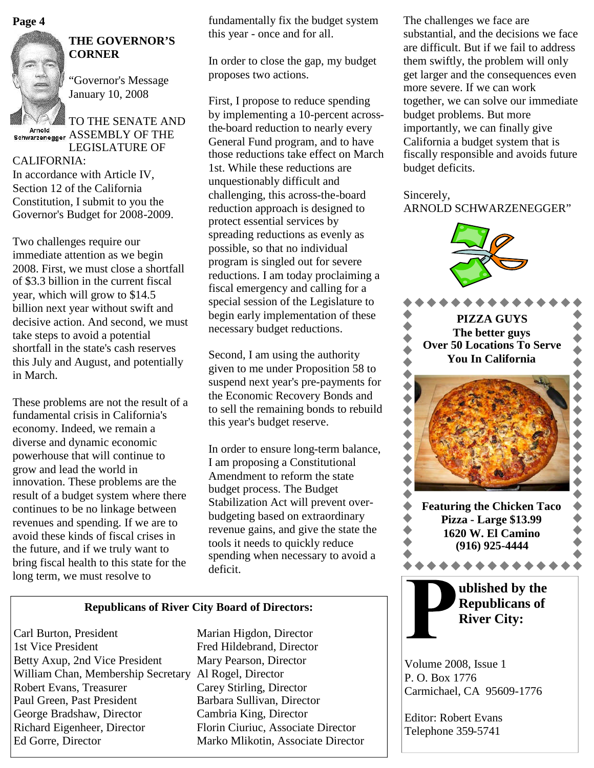**Page 4**



Arnold

# **THE GOVERNOR'S CORNER**

"Governor's Message January 10, 2008

TO THE SENATE AND Schwarzenegger ASSEMBLY OF THE LEGISLATURE OF

#### CALIFORNIA:

In accordance with Article IV, Section 12 of the California Constitution, I submit to you the Governor's Budget for 2008-2009.

Two challenges require our immediate attention as we begin 2008. First, we must close a shortfall of \$3.3 billion in the current fiscal year, which will grow to \$14.5 billion next year without swift and decisive action. And second, we must take steps to avoid a potential shortfall in the state's cash reserves this July and August, and potentially in March.

These problems are not the result of a fundamental crisis in California's economy. Indeed, we remain a diverse and dynamic economic powerhouse that will continue to grow and lead the world in innovation. These problems are the result of a budget system where there continues to be no linkage between revenues and spending. If we are to avoid these kinds of fiscal crises in the future, and if we truly want to bring fiscal health to this state for the long term, we must resolve to

fundamentally fix the budget system this year - once and for all.

In order to close the gap, my budget proposes two actions.

First, I propose to reduce spending by implementing a 10-percent acrossthe-board reduction to nearly every General Fund program, and to have those reductions take effect on March 1st. While these reductions are unquestionably difficult and challenging, this across-the-board reduction approach is designed to protect essential services by spreading reductions as evenly as possible, so that no individual program is singled out for severe reductions. I am today proclaiming a fiscal emergency and calling for a special session of the Legislature to begin early implementation of these necessary budget reductions.

Second, I am using the authority given to me under Proposition 58 to suspend next year's pre-payments for the Economic Recovery Bonds and to sell the remaining bonds to rebuild this year's budget reserve.

In order to ensure long-term balance, I am proposing a Constitutional Amendment to reform the state budget process. The Budget Stabilization Act will prevent overbudgeting based on extraordinary revenue gains, and give the state the tools it needs to quickly reduce spending when necessary to avoid a deficit.

#### **Republicans of River City Board of Directors:**

Carl Burton, President Marian Higdon, Director 1st Vice President Fred Hildebrand, Director Betty Axup, 2nd Vice President Mary Pearson, Director William Chan, Membership Secretary Al Rogel, Director Robert Evans, Treasurer Carey Stirling, Director Paul Green, Past President Barbara Sullivan, Director George Bradshaw, Director Cambria King, Director Richard Eigenheer, Director Florin Ciuriuc, Associate Director Ed Gorre, Director Marko Mlikotin, Associate Director

The challenges we face are substantial, and the decisions we face are difficult. But if we fail to address them swiftly, the problem will only get larger and the consequences even more severe. If we can work together, we can solve our immediate budget problems. But more importantly, we can finally give California a budget system that is fiscally responsible and avoids future budget deficits.

## Sincerely, ARNOLD SCHWARZENEGGER"



Volume 2008, Issue 1 P. O. Box 1776 Carmichael, CA 95609-1776

Editor: Robert Evans Telephone 359-5741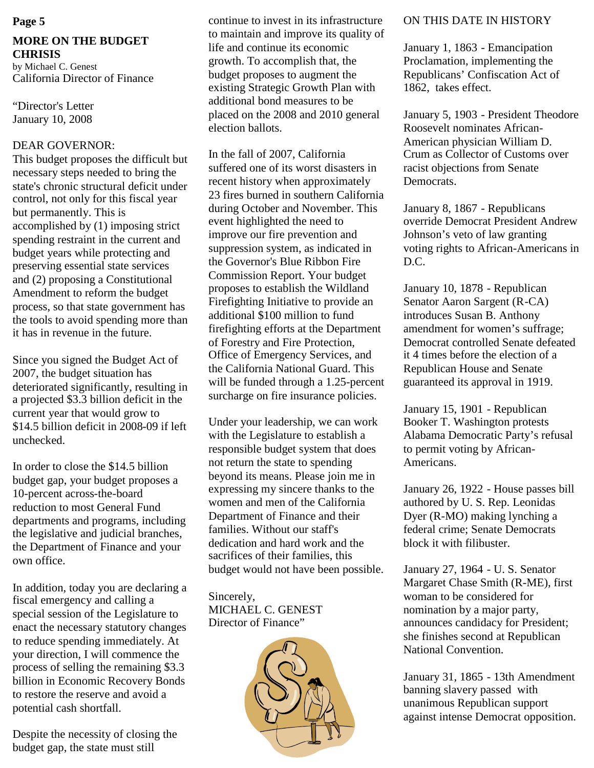# **MORE ON THE BUDGET CHRISIS**

by Michael C. Genest California Director of Finance

"Director's Letter January 10, 2008

### DEAR GOVERNOR:

This budget proposes the difficult but necessary steps needed to bring the state's chronic structural deficit under control, not only for this fiscal year but permanently. This is accomplished by (1) imposing strict spending restraint in the current and budget years while protecting and preserving essential state services and (2) proposing a Constitutional Amendment to reform the budget process, so that state government has the tools to avoid spending more than it has in revenue in the future.

Since you signed the Budget Act of 2007, the budget situation has deteriorated significantly, resulting in a projected \$3.3 billion deficit in the current year that would grow to \$14.5 billion deficit in 2008-09 if left unchecked.

In order to close the \$14.5 billion budget gap, your budget proposes a 10-percent across-the-board reduction to most General Fund departments and programs, including the legislative and judicial branches, the Department of Finance and your own office.

In addition, today you are declaring a fiscal emergency and calling a special session of the Legislature to enact the necessary statutory changes to reduce spending immediately. At your direction, I will commence the process of selling the remaining \$3.3 billion in Economic Recovery Bonds to restore the reserve and avoid a potential cash shortfall.

Despite the necessity of closing the budget gap, the state must still

**Page 5** Continue to invest in its infrastructure ON THIS DATE IN HISTORY to maintain and improve its quality of life and continue its economic growth. To accomplish that, the budget proposes to augment the existing Strategic Growth Plan with additional bond measures to be placed on the 2008 and 2010 general election ballots.

> In the fall of 2007, California suffered one of its worst disasters in recent history when approximately 23 fires burned in southern California during October and November. This event highlighted the need to improve our fire prevention and suppression system, as indicated in the Governor's Blue Ribbon Fire Commission Report. Your budget proposes to establish the Wildland Firefighting Initiative to provide an additional \$100 million to fund firefighting efforts at the Department of Forestry and Fire Protection, Office of Emergency Services, and the California National Guard. This will be funded through a 1.25-percent surcharge on fire insurance policies.

Under your leadership, we can work with the Legislature to establish a responsible budget system that does not return the state to spending beyond its means. Please join me in expressing my sincere thanks to the women and men of the California Department of Finance and their families. Without our staff's dedication and hard work and the sacrifices of their families, this budget would not have been possible.

Sincerely, MICHAEL C. GENEST Director of Finance"



January 1, 1863 - Emancipation Proclamation, implementing the Republicans' Confiscation Act of 1862, takes effect.

January 5, 1903 - President Theodore Roosevelt nominates African-American physician William D. Crum as Collector of Customs over racist objections from Senate Democrats.

January 8, 1867 - Republicans override Democrat President Andrew Johnson's veto of law granting voting rights to African-Americans in  $D.C.$ 

January 10, 1878 - Republican Senator Aaron Sargent (R-CA) introduces Susan B. Anthony amendment for women's suffrage; Democrat controlled Senate defeated it 4 times before the election of a Republican House and Senate guaranteed its approval in 1919.

January 15, 1901 - Republican Booker T. Washington protests Alabama Democratic Party's refusal to permit voting by African-Americans.

January 26, 1922 - House passes bill authored by U. S. Rep. Leonidas Dyer (R-MO) making lynching a federal crime; Senate Democrats block it with filibuster.

January 27, 1964 - U. S. Senator Margaret Chase Smith (R-ME), first woman to be considered for nomination by a major party, announces candidacy for President; she finishes second at Republican National Convention.

January 31, 1865 - 13th Amendment banning slavery passed with unanimous Republican support against intense Democrat opposition.